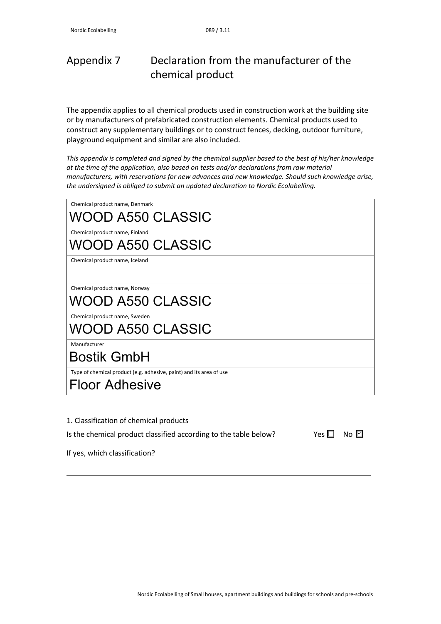# Appendix 7 Declaration from the manufacturer of the chemical product

The appendix applies to all chemical products used in construction work at the building site or by manufacturers of prefabricated construction elements. Chemical products used to construct any supplementary buildings or to construct fences, decking, outdoor furniture, playground equipment and similar are also included.

*This appendix is completed and signed by the chemical supplier based to the best of his/her knowledge at the time of the application, also based on tests and/or declarations from raw material manufacturers, with reservations for new advances and new knowledge. Should such knowledge arise, the undersigned is obliged to submit an updated declaration to Nordic Ecolabelling.*

| Chemical product name, Denmark<br>WOOD A550 CLASSIC                                          |  |  |
|----------------------------------------------------------------------------------------------|--|--|
| Chemical product name, Finland<br>WOOD A550 CLASSIC                                          |  |  |
| Chemical product name, Iceland                                                               |  |  |
| Chemical product name, Norway<br>WOOD A550 CLASSIC                                           |  |  |
| Chemical product name, Sweden<br>WOOD A550 CLASSIC                                           |  |  |
| Manufacturer<br><b>Bostik GmbH</b>                                                           |  |  |
| Type of chemical product (e.g. adhesive, paint) and its area of use<br><b>Floor Adhesive</b> |  |  |

| 1. Classification of chemical products |                                                                  |                      |  |
|----------------------------------------|------------------------------------------------------------------|----------------------|--|
|                                        | Is the chemical product classified according to the table below? | Yes $\Box$ No $\Box$ |  |
| If yes, which classification?          |                                                                  |                      |  |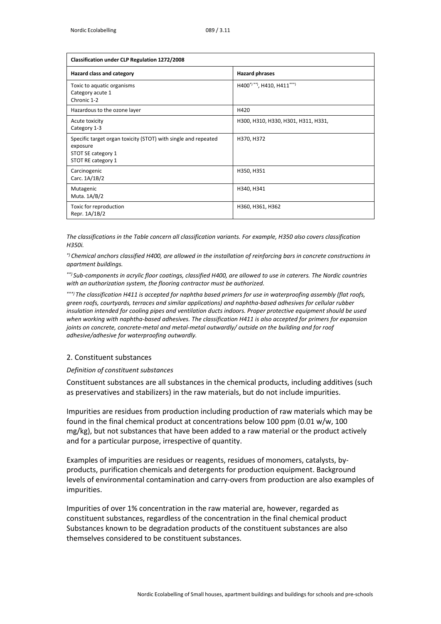| <b>Classification under CLP Regulation 1272/2008</b>                                                                   |                                     |  |  |
|------------------------------------------------------------------------------------------------------------------------|-------------------------------------|--|--|
| Hazard class and category                                                                                              | <b>Hazard phrases</b>               |  |  |
| Toxic to aquatic organisms<br>Category acute 1<br>Chronic 1-2                                                          | H400*)**), H410, H411***)           |  |  |
| Hazardous to the ozone layer                                                                                           | H420                                |  |  |
| Acute toxicity<br>Category 1-3                                                                                         | H300, H310, H330, H301, H311, H331, |  |  |
| Specific target organ toxicity (STOT) with single and repeated<br>exposure<br>STOT SE category 1<br>STOT RE category 1 | H370, H372                          |  |  |
| Carcinogenic<br>Carc. 1A/1B/2                                                                                          | H350, H351                          |  |  |
| Mutagenic<br>Muta. 1A/B/2                                                                                              | H340, H341                          |  |  |
| Toxic for reproduction<br>Repr. 1A/1B/2                                                                                | H360, H361, H362                    |  |  |

*The classifications in the Table concern all classification variants. For example, H350 also covers classification H350i.*

*\*) Chemical anchors classified H400, are allowed in the installation of reinforcing bars in concrete constructions in apartment buildings.*

*\*\*) Sub-components in acrylic floor coatings, classified H400, are allowed to use in caterers. The Nordic countries with an authorization system, the flooring contractor must be authorized.*

*\*\*\*) The classification H411 is accepted for naphtha based primers for use in waterproofing assembly (flat roofs, green roofs, courtyards, terraces and similar applications) and naphtha-based adhesives for cellular rubber insulation intended for cooling pipes and ventilation ducts indoors. Proper protective equipment should be used when working with naphtha-based adhesives. The classification H411 is also accepted for primers for expansion joints on concrete, concrete-metal and metal-metal outwardly/ outside on the building and for roof adhesive/adhesive for waterproofing outwardly.*

### 2. Constituent substances

*Definition of constituent substances*

Constituent substances are all substances in the chemical products, including additives (such as preservatives and stabilizers) in the raw materials, but do not include impurities.

Impurities are residues from production including production of raw materials which may be found in the final chemical product at concentrations below 100 ppm (0.01 w/w, 100 mg/kg), but not substances that have been added to a raw material or the product actively and for a particular purpose, irrespective of quantity.

Examples of impurities are residues or reagents, residues of monomers, catalysts, byproducts, purification chemicals and detergents for production equipment. Background levels of environmental contamination and carry-overs from production are also examples of impurities.

Impurities of over 1% concentration in the raw material are, however, regarded as constituent substances, regardless of the concentration in the final chemical product Substances known to be degradation products of the constituent substances are also themselves considered to be constituent substances.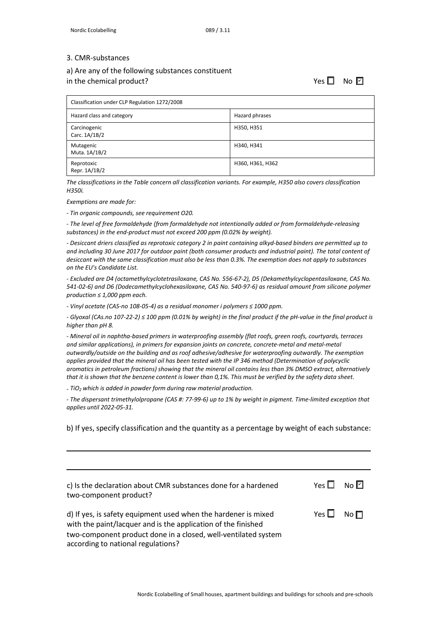#### 3. CMR-substances

# a) Are any of the following substances constituent

in the chemical product?

☐ ☐ ✔

| Classification under CLP Regulation 1272/2008 |                  |  |
|-----------------------------------------------|------------------|--|
| Hazard class and category                     | Hazard phrases   |  |
| Carcinogenic<br>Carc. 1A/1B/2                 | H350, H351       |  |
| Mutagenic<br>Muta. 1A/1B/2                    | H340, H341       |  |
| Reprotoxic<br>Repr. 1A/1B/2                   | H360, H361, H362 |  |

*The classifications in the Table concern all classification variants. For example, H350 also covers classification H350i.*

*Exemptions are made for:*

*- Tin organic compounds, see requirement O20.*

*- The level of free formaldehyde (from formaldehyde not intentionally added or from formaldehyde-releasing substances) in the end-product must not exceed 200 ppm (0.02% by weight).*

*- Desiccant driers classified as reprotoxic category 2 in paint containing alkyd-based binders are permitted up to and including 30 June 2017 for outdoor paint (both consumer products and industrial paint). The total content of desiccant with the same classification must also be less than 0.3%. The exemption does not apply to substances on the EU's Candidate List.*

*- Excluded are D4 (octamethylcyclotetrasiloxane, CAS No. 556-67-2), D5 (Dekamethylcyclopentasiloxane, CAS No. 541-02-6) and D6 (Dodecamethylcyclohexasiloxane, CAS No. 540-97-6) as residual amount from silicone polymer production ≤ 1,000 ppm each.*

*- Vinyl acetate (CAS-no 108-05-4) as a residual monomer i polymers ≤ 1000 ppm.*

*- Glyoxal (CAs.no 107-22-2) ≤ 100 ppm (0.01% by weight) in the final product if the pH-value in the final product is higher than pH 8.*

*- Mineral oil in naphtha-based primers in waterproofing assembly (flat roofs, green roofs, courtyards, terraces and similar applications), in primers for expansion joints on concrete, concrete-metal and metal-metal outwardly/outside on the building and as roof adhesive/adhesive for waterproofing outwardly. The exemption applies provided that the mineral oil has been tested with the IP 346 method (Determination of polycyclic aromatics in petroleum fractions) showing that the mineral oil contains less than 3% DMSO extract, alternatively that it is shown that the benzene content is lower than 0,1%. This must be verified by the safety data sheet.*

*- TiO2 which is added in powder form during raw material production.*

*- The dispersant trimethylolpropane (CAS #: 77-99-6) up to 1% by weight in pigment. Time-limited exception that applies until 2022-05-31.*

b) If yes, specify classification and the quantity as a percentage by weight of each substance:

| c) Is the declaration about CMR substances done for a hardened<br>two-component product?                                                                                                                                                | Yes □      | $N \cap  I $ |
|-----------------------------------------------------------------------------------------------------------------------------------------------------------------------------------------------------------------------------------------|------------|--------------|
| d) If yes, is safety equipment used when the hardener is mixed<br>with the paint/lacquer and is the application of the finished<br>two-component product done in a closed, well-ventilated system<br>according to national regulations? | Yes $\Box$ | No $\Box$    |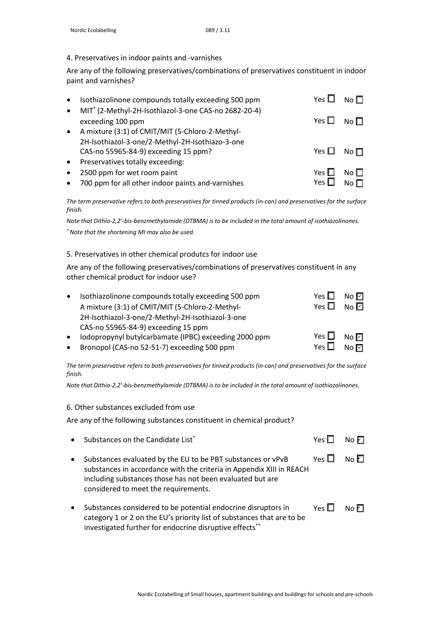## 4. Preservatives in indoor paints and -varnishes

Are any of the following preservatives/combinations of preservatives constituent in indoor paint and varnishes?

| $\bullet$ | Isothiazolinone compounds totally exceeding 500 ppm              | Yes $\mathsf L$      | No $\Box$    |
|-----------|------------------------------------------------------------------|----------------------|--------------|
| $\bullet$ | MIT <sup>*</sup> (2-Methyl-2H-Isothiazol-3-one CAS-no 2682-20-4) |                      |              |
|           | exceeding 100 ppm                                                | Yes $\Box$ No $\Box$ |              |
| $\bullet$ | A mixture (3:1) of CMIT/MIT (5-Chloro-2-Methyl-                  |                      |              |
|           | 2H-Isothiazol-3-one/2-Methyl-2H-Isothiazo-3-one                  |                      |              |
|           | CAS-no 55965-84-9) exceeding 15 ppm?                             | Yes $\square$        | No $\Box$    |
| $\bullet$ | Preservatives totally exceeding:                                 |                      |              |
| $\bullet$ | 2500 ppm for wet room paint                                      | Yes $\Box$           | No $\square$ |
| $\bullet$ | 700 ppm for all other indoor paints and-varnishes                | Yes L                |              |

*The term preservative refers to both preservatives for tinned products (in-can) and preservatives for the surface finish.*

*Note that Dithio-2,2'-bis-benzmethylamide (DTBMA) is to be included in the total amount of isothiazolinones. \*Note that the shortening MI may also be used.*

# 5. Preservatives in other chemical produtcs for indoor use

Are any of the following preservatives/combinations of preservatives constituent in any other chemical product for indoor use?

| $\bullet$ | Isothiazolinone compounds totally exceeding 500 ppm   | Yes $\square$ | $No$ $\Box$    |
|-----------|-------------------------------------------------------|---------------|----------------|
|           | A mixture (3:1) of CMIT/MIT (5-Chloro-2-Methyl-       | Yes $\Box$    | No $\Box$      |
|           | 2H-Isothiazol-3-one/2-Methyl-2H-Isothiazol-3-one      |               |                |
|           | CAS-no 55965-84-9) exceeding 15 ppm                   |               |                |
| $\bullet$ | Iodopropynyl butylcarbamate (IPBC) exceeding 2000 ppm | Yes $\Box$    | No $\boxdot$   |
| $\bullet$ | Bronopol (CAS-no 52-51-7) exceeding 500 ppm           | Yes $\square$ | $N$ o $\nabla$ |

*The term preservative refers to both preservatives for tinned products (in-can) and preservatives for the surface finish.*

*Note that Dithio-2,2'-bis-benzmethylamide (DTBMA) is to be included in the total amount of isothiazolinones.*

### 6. Other substances excluded from use

Are any of the following substances constituent in chemical product?

|           | • Substances on the Candidate List*                                                                                                                                                                                                      | Yes [      | NoE       |
|-----------|------------------------------------------------------------------------------------------------------------------------------------------------------------------------------------------------------------------------------------------|------------|-----------|
| $\bullet$ | Substances evaluated by the EU to be PBT substances or vPvB<br>substances in accordance with the criteria in Appendix XIII in REACH<br>including substances those has not been evaluated but are<br>considered to meet the requirements. | Yes $\Box$ | No $\Box$ |
| $\bullet$ | Substances considered to be potential endocrine disruptors in<br>category 1 or 2 on the EU's priority list of substances that are to be<br>investigated further for endocrine disruptive effects**                                       | Yes $\Box$ | No $\Box$ |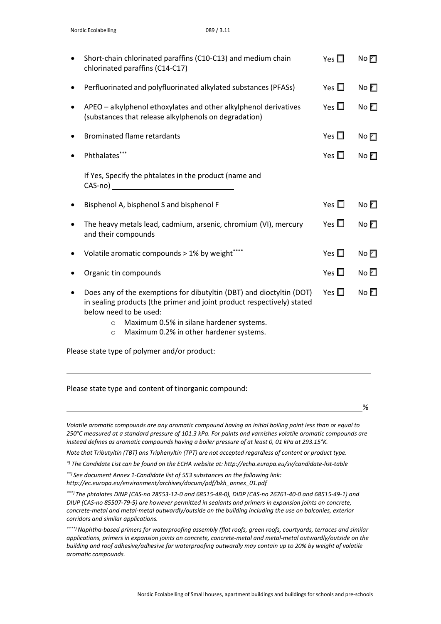|                                                       | Short-chain chlorinated paraffins (C10-C13) and medium chain<br>chlorinated paraffins (C14-C17)                                                                                                                                                                                       | Yes $\Box$    | NoE         |  |
|-------------------------------------------------------|---------------------------------------------------------------------------------------------------------------------------------------------------------------------------------------------------------------------------------------------------------------------------------------|---------------|-------------|--|
|                                                       | Perfluorinated and polyfluorinated alkylated substances (PFASs)                                                                                                                                                                                                                       | Yes $\square$ | No $\Box$   |  |
|                                                       | APEO - alkylphenol ethoxylates and other alkylphenol derivatives<br>(substances that release alkylphenols on degradation)                                                                                                                                                             | Yes $\Box$    | No $\Box$   |  |
|                                                       | <b>Brominated flame retardants</b>                                                                                                                                                                                                                                                    | Yes $\square$ | NoE         |  |
|                                                       | Phthalates***                                                                                                                                                                                                                                                                         | Yes $\Box$    | No $\Box$   |  |
|                                                       | If Yes, Specify the phtalates in the product (name and<br>CAS-no)                                                                                                                                                                                                                     |               |             |  |
|                                                       | Bisphenol A, bisphenol S and bisphenol F                                                                                                                                                                                                                                              | Yes $\square$ | No $\Box$   |  |
|                                                       | The heavy metals lead, cadmium, arsenic, chromium (VI), mercury<br>and their compounds                                                                                                                                                                                                | Yes $\square$ | No $\Box$   |  |
|                                                       | Volatile aromatic compounds > 1% by weight****                                                                                                                                                                                                                                        | Yes $\square$ | $No$ $\Box$ |  |
|                                                       | Organic tin compounds                                                                                                                                                                                                                                                                 | Yes $\square$ | No $\Box$   |  |
|                                                       | Does any of the exemptions for dibutyltin (DBT) and dioctyltin (DOT)<br>in sealing products (the primer and joint product respectively) stated<br>below need to be used:<br>Maximum 0.5% in silane hardener systems.<br>$\circ$<br>Maximum 0.2% in other hardener systems.<br>$\circ$ | Yes $\square$ | No $\Box$   |  |
| Please state type of polymer and/or product:          |                                                                                                                                                                                                                                                                                       |               |             |  |
| Please state type and content of tinorganic compound: |                                                                                                                                                                                                                                                                                       |               |             |  |

%

*Volatile aromatic compounds are any aromatic compound having an initial boiling point less than or equal to 250°C measured at a standard pressure of 101.3 kPa. For paints and varnishes volatile aromatic compounds are instead defines as aromatic compounds having a boiler pressure of at least 0, 01 kPa at 293.15°K.*

*Note that Tributyltin (TBT) ans Triphenyltin (TPT) are not accepted regardless of content or product type.*

*\*) The Candidate List can be found on the ECHA website at: <http://echa.europa.eu/sv/candidate-list-table>*

*\*\*) See document Annex 1-Candidate list of 553 substances on the following link: [http://ec.europa.eu/environment/archives/docum/pdf/bkh\\_annex\\_01.pdf](http://ec.europa.eu/environment/archives/docum/pdf/bkh_annex_01.pdf)*

*\*\*\*) The phtalates DINP (CAS-no 28553-12-0 and 68515-48-0), DIDP (CAS-no 26761-40-0 and 68515-49-1) and DIUP (CAS-no 85507-79-5) are however permitted in sealants and primers in expansion joints on concrete, concrete-metal and metal-metal outwardly/outside on the building including the use on balconies, exterior corridors and similar applications.*

*\*\*\*\*) Naphtha-based primers for waterproofing assembly (flat roofs, green roofs, courtyards, terraces and similar applications, primers in expansion joints on concrete, concrete-metal and metal-metal outwardly/outside on the building and roof adhesive/adhesive for waterproofing outwardly may contain up to 20% by weight of volatile aromatic compounds.*